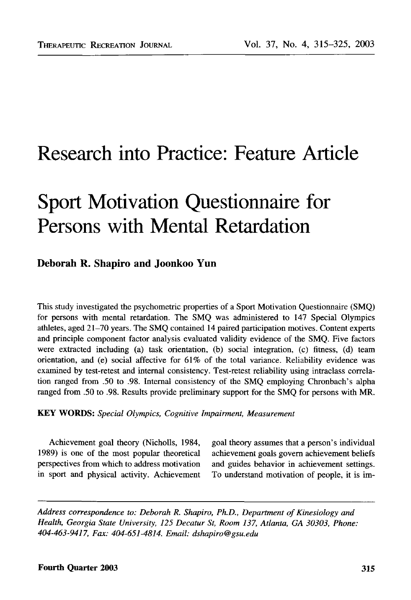## Research into Practice: Feature Article

# Sport Motivation Questionnaire for Persons with Mental Retardation

#### Deborah R. Shapiro and Joonkoo Yun

This study investigated the psychometric properties of a Sport Motivation Questionnaire (SMQ) for persons with mental retardation. The SMQ was administered to 147 Special Olympics athletes, aged 21-70 years. The SMQ contained 14 paired participation motives. Content experts and principle component factor analysis evaluated validity evidence of the SMQ. Five factors were extracted including (a) task orientation, (b) social integration, (c) fitness, (d) team orientation, and (e) social affective for 61% of the total variance. Reliability evidence was examined by test-retest and internal consistency. Test-retest reliability using intraclass correlation ranged from .50 to .98. Internal consistency of the SMQ employing Chronbach's alpha ranged from .50 to .98. Results provide preliminary support for the SMQ for persons with MR.

**KEY WORDS:** *Special Olympics, Cognitive Impairment, Measurement*

perspectives from which to address motivation and guides behavior in achievement settings, in sport and physical activity. Achievement To understand motivation of people, it is im-

Achievement goal theory (Nicholls, 1984, goal theory assumes that a person's individual 1989) is one of the most popular theoretical achievement goals govern achievement beliefs

*Address correspondence to: Deborah R. Shapiro, Ph.D., Department of Kinesiology and Health, Georgia State University, 125 Decatur St, Room 137, Atlanta, GA 30303, Phone: 404-463-9417, Fax: 404-651-4814. Email: dshapiro@gsu.edu*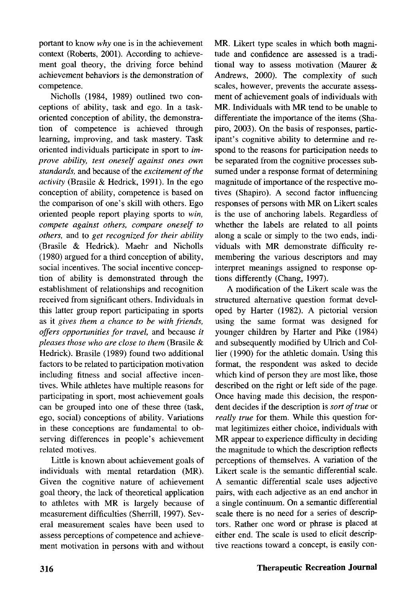portant to know *why* one is in the achievement context (Roberts, 2001). According to achievement goal theory, the driving force behind achievement behaviors is the demonstration of competence.

Nicholls (1984, 1989) outlined two conceptions of ability, task and ego. In a taskoriented conception of ability, the demonstration of competence is achieved through learning, improving, and task mastery. Task oriented individuals participate in sport to *improve ability, test oneself against ones own standards,* and because of the *excitement of the activity* (Brasile & Hedrick, 1991). In the ego conception of ability, competence is based on the comparison of one's skill with others. Ego oriented people report playing sports to *win, compete against others, compare oneself to others,* and to *get recognized for their ability* (Brasile & Hedrick). Maehr and Nicholls (1980) argued for a third conception of ability, social incentives. The social incentive conception of ability is demonstrated through the establishment of relationships and recognition received from significant others. Individuals in this latter group report participating in sports as it *gives them a chance to be with friends, offers opportunities for travel,* and because *it pleases those who are close to them* (Brasile & Hedrick). Brasile (1989) found two additional factors to be related to participation motivation including fitness and social affective incentives. While athletes have multiple reasons for participating in sport, most achievement goals can be grouped into one of these three (task, ego, social) conceptions of ability. Variations  $e^{i\omega}$ , social conceptions of ability. Variations  $\frac{1}{2}$  difference conceptions are rundamental to observing differences in people's achievement<br>related motives.

Little is known about achievement goals of individuals with mental retardation (MR). Given the cognitive nature of achievement goal theory, the lack of theoretical application to athletes with MR is largely because of measurement difficulties (Sherrill, 1997). Several measurement scales have been used to assess perceptions of competence and achievement motivation in persons with and without

MR. Likert type scales in which both magnitude and confidence are assessed is a traditional way to assess motivation (Maurer & Andrews, 2000). The complexity of such scales, however, prevents the accurate assessment of achievement goals of individuals with MR. Individuals with MR tend to be unable to differentiate the importance of the items (Shapiro, 2003). On the basis of responses, participant's cognitive ability to determine and respond to the reasons for participation needs to be separated from the cognitive processes subsumed under a response format of determining magnitude of importance of the respective motives (Shapiro). A second factor influencing responses of persons with MR on Likert scales is the use of anchoring labels. Regardless of whether the labels are related to all points along a scale or simply to the two ends, individuals with MR demonstrate difficulty remembering the various descriptors and may interpret meanings assigned to response options differently (Chang, 1997).

A modification of the Likert scale was the structured alternative question format developed by Harter (1982). A pictorial version using the same format was designed for younger children by Harter and Pike (1984) and subsequently modified by Ulrich and Collier (1990) for the athletic domain. Using this format, the respondent was asked to decide which kind of person they are most like, those described on the right or left side of the page. Once having made this decision, the respondent decides if the description is *sort of true* or *really true* for them. While this question format legitimizes either choice, individuals with MR appear to experience difficulty in deciding the magnitude to which the description reflects perceptions of themselves. A variation of the Likert scale is the semantic differential scale. A semantic differential scale uses adjective pairs, with each adjective as an end anchor in a single continuum. On a semantic differential scale there is no need for a series of descriptors. Rather one word or phrase is placed at either end. The scale is used to elicit descriptive reactions toward a concept, is easily con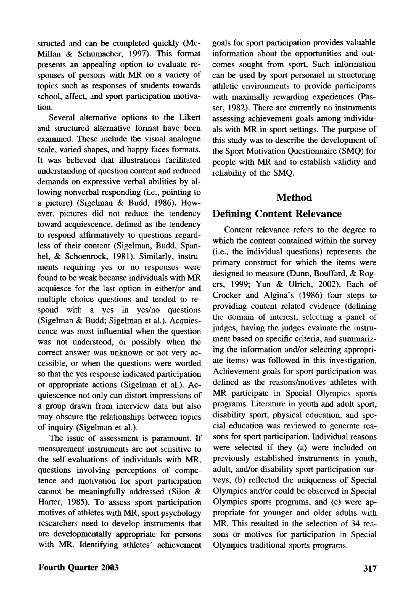structed and can be completed quickly (Mc-Millan & Schumacher, 1997). This format presents an appealing option to evaluate responses of persons with MR on a variety of topics such as responses of students towards school, affect, and sport participation motivation.

Several alternative options to the Likert and structured alternative format have been examined. These include the visual analogue scale, varied shapes, and happy faces formats. It was believed that illustrations facilitated understanding of question content and reduced demands on expressive verbal abilities by allowing nonverbal responding (i.e., pointing to a picture) (Sigelman & Budd, 1986). However, pictures did not reduce the tendency toward acquiescence, defined as the tendency to respond affirmatively to questions regardless of their content (Sigelman, Budd, Spanhel, & Schoenrock, 1981). Similarly, instruments requiring yes or no responses were found to be weak because individuals with MR acquiesce for the last option in either/or and multiple choice questions and tended to respond with a yes in yes/no questions (Sigelman & Budd; Sigelman et al.). Acquiescence was most influential when the question was not understood, or possibly when the correct answer was unknown or not very accessible, or when the questions were worded so that the yes response indicated participation or appropriate actions (Sigelman et al.). Acquiescence not only can distort impressions of a group drawn from interview data but also may obscure the relationships between topics of inquiry (Sigelman et al.).

The issue of assessment is paramount. If measurement instruments are not sensitive to the self-evaluations of individuals with MR, questions involving perceptions of competence and motivation for sport participation cannot be meaningfully addressed (Silon & Harter, 1985). To assess sport participation motives of athletes with MR, sport psychology researchers need to develop instruments that are developmentally appropriate for persons with MR. Identifying athletes' achievement goals for sport participation provides valuable information about the opportunities and outcomes sought from sport. Such information can be used by sport personnel in structuring athletic environments to provide participants with maximally rewarding experiences (Passer, 1982). There are currently no instruments assessing achievement goals among individuals with MR in sport settings. The purpose of this study was to describe the development of the Sport Motivation Questionnaire (SMQ) for people with MR and to establish validity and reliability of the SMQ.

#### Method

#### Defining Content Relevance

Content relevance refers to the degree to which the content contained within the survey (i.e., the individual questions) represents the primary construct for which the items were designed to measure (Dunn, Bouffard, & Rogers, 1999; Yun & Ulrich, 2002). Each of Crocker and Algina's (1986) four steps to providing content related evidence (defining the domain of interest, selecting a panel of judges, having the judges evaluate the instrument based on specific criteria, and summarizing the information and/or selecting appropriate items) was followed in this investigation. Achievement goals for sport participation was defined as the reasons/motives athletes with MR participate in Special Olympics sports programs. Literature in youth and adult sport, disability sport, physical education, and special education was reviewed to generate reasons for sport participation. Individual reasons were selected if they (a) were included on previously established instruments in youth, adult, and/or disability sport participation surveys, (b) reflected the uniqueness of Special Olympics and/or could be observed in Special Olympics sports programs, and (c) were appropriate for younger and older adults with MR. This resulted in the selection of 34 reasons or motives for participation in Special Olympics traditional sports programs.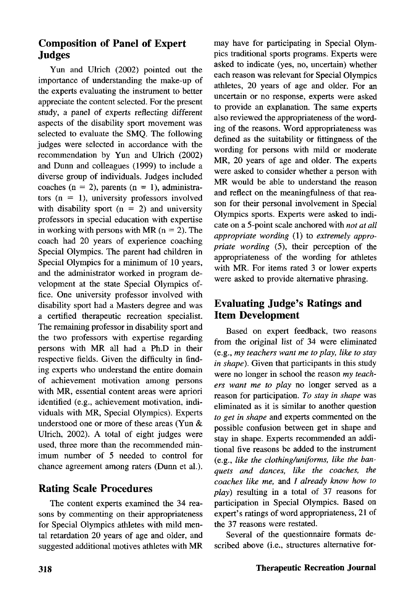#### Composition of Panel of Expert Judges

Yun and Ulrich (2002) pointed out the importance of understanding the make-up of the experts evaluating the instrument to better appreciate the content selected. For the present study, a panel of experts reflecting different aspects of the disability sport movement was selected to evaluate the SMQ. The following judges were selected in accordance with the recommendation by Yun and Ulrich (2002) and Dunn and colleagues (1999) to include a diverse group of individuals. Judges included coaches ( $n = 2$ ), parents ( $n = 1$ ), administrators  $(n = 1)$ , university professors involved with disability sport  $(n = 2)$  and university professors in special education with expertise in working with persons with MR  $(n = 2)$ . The coach had 20 years of experience coaching Special Olympics. The parent had children in Special Olympics for a minimum of 10 years, and the administrator worked in program development at the state Special Olympics office. One university professor involved with disability sport had a Masters degree and was a certified therapeutic recreation specialist. The remaining professor in disability sport and the two professors with expertise regarding persons with MR all had a Ph.D in their respective fields. Given the difficulty in finding experts who understand the entire domain of achievement motivation among persons with MR, essential content and all persons with MK, essential content areas were apriori identified (e.g., achievement motivation, individuals with MR, Special Olympics). Experts understood one or more of these areas (Yun  $\&$ Ulrich, 2002). A total of eight judges were used, three more than the recommended minimum number of 5 needed to control for chance agreement among raters (Dunn et al.).

#### Rating Scale Procedures

The content experts examined the 34 reasons by commenting on their appropriateness for Special Olympics athletes with mild mental retardation 20 years of age and older, and suggested additional motives athletes with MR may have for participating in Special Olympics traditional sports programs. Experts were asked to indicate (yes, no, uncertain) whether each reason was relevant for Special Olympics athletes, 20 years of age and older. For an uncertain or no response, experts were asked to provide an explanation. The same experts also reviewed the appropriateness of the wording of the reasons. Word appropriateness was defined as the suitability or fittingness of the wording for persons with mild or moderate MR, 20 years of age and older. The experts were asked to consider whether a person with MR would be able to understand the reason and reflect on the meaningfulness of that reason for their personal involvement in Special Olympics sports. Experts were asked to indicate on a 5-point scale anchored with *not at all appropriate wording* (1) to *extremely appropriate wording* (5), their perception of the appropriateness of the wording for athletes with MR. For items rated 3 or lower experts were asked to provide alternative phrasing.

#### Evaluating Judge's Ratings and Item Development

Based on expert feedback, two reasons from the original list of 34 were eliminated (e.g., *my teachers want me to play, like to stay in shape).* Given that participants in this study were no longer in school the reason *my teachers want me to play* no longer served as a reason for participation. *To stay in shape* was eliminated as it is similar to another question *to get in shape* and experts commented on the possible confusion between get in shape and stay in shape. Experts recommended an additional five reasons be added to the instrument (e.g., *like the clothing/uniforms, like the banquets and dances, like the coaches, the coaches like me,* and / *already know how to play)* resulting in a total of 37 reasons for participation in Special Olympics. Based on expert's ratings of word appropriateness, 21 of the 37 reasons were restated.

Several of the questionnaire formats described above (i.e., structures alternative for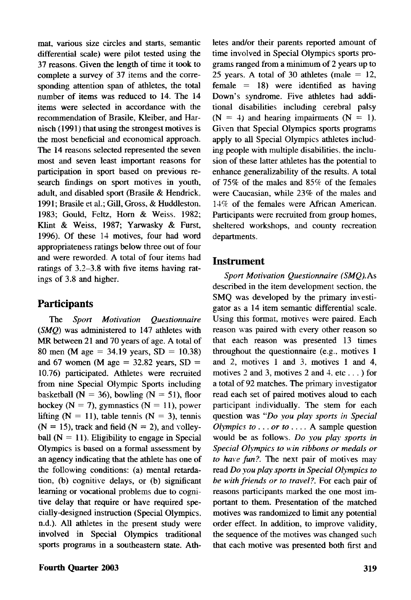mat, various size circles and starts, semantic differential scale) were pilot tested using the 37 reasons. Given the length of time it took to complete a survey of 37 items and the corresponding attention span of athletes, the total number of items was reduced to 14. The 14 items were selected in accordance with the recommendation of Brasile, Kleiber, and Harnisch (1991) that using the strongest motives is the most beneficial and economical approach. The 14 reasons selected represented the seven most and seven least important reasons for participation in sport based on previous research findings on sport motives in youth, adult, and disabled sport (Brasile & Hendrick. 1991; Brasile et al.; Gill, Gross, & Huddleston. 1983; Gould, Feltz, Horn & Weiss. 1982; Klint & Weiss, 1987; Yarwasky & Furst, 1996). Of these 14 motives, four had word appropriateness ratings below three out of four and were reworded. A total of four items had ratings of 3.2-3.8 with five items having ratings of 3.8 and higher.

#### **Participants**

The *Sport Motivation Questionnaire {SMQ)* was administered to 147 athletes with MR between 21 and 70 years of age. A total of 80 men (M age = 34.19 years, SD = 10.38) and 67 women (M age  $= 32.82$  years, SD  $=$ 10.76) participated. Athletes were recruited from nine Special Olympic Sports including basketball ( $N = 36$ ), bowling ( $N = 51$ ), floor hockey ( $N = 7$ ), gymnastics ( $N = 11$ ), power lifting ( $N = 11$ ), table tennis ( $N = 3$ ), tennis  $(N = 15)$ , track and field  $(N = 2)$ , and volleyball  $(N = 11)$ . Eligibility to engage in Special Olympics is based on a formal assessment by an agency indicating that the athlete has one of the following conditions: (a) mental retardation, (b) cognitive delays, or (b) significant learning or vocational problems due to cognitive delay that require or have required specially-designed instruction (Special Olympics, n.d.). All athletes in the present study were involved in Special Olympics traditional sports programs in a southeastern state. Ath-

**Fourth Quarter 2003 319**

letes and/or their parents reported amount of time involved in Special Olympics sports programs ranged from a minimum of 2 years up to 25 years. A total of 30 athletes (male  $= 12$ , female  $= 18$ ) were identified as having Down's syndrome. Five athletes had additional disabilities including cerebral palsy  $(N = 4)$  and hearing impairments  $(N = 1)$ . Given that Special Olympics sports programs apply to all Special Olympics adiletes including people with multiple disabilities, the inclusion of these latter athletes has the potential to enhance generalizability of the results. A total of 75% of the males and 85% of the females were Caucasian, while 23% of the males and 14% of the females were African American. Participants were recruited from group homes, sheltered workshops, and county recreation departments.

#### Instrument

*Sport Motivation Questionnaire (SMQ). As* described in the item development section, the SMQ was developed by the primary investigator as a 14 item semantic differential scale. Using this format, motives were paired. Each reason was paired with every other reason so that each reason was presented 13 times throughout the questionnaire (e.g.. motives 1 and 2, motives 1 and 3. motives 1 and 4, motives 2 and 3, motives 2 and 4, etc...) for a total of 92 matches. The primary investigator read each set of paired motives aloud to each participant individually. The stem for each question was *"Do you play sports in Special Olympics to* .. . *or to* ... . A sample question would be as follows. *Do you play sports in Special Olympics to win ribbons or medals or to have fun?.* The next pair of motives may read *Do you play sports in Special Olympics to be with friends or to travel?.* For each pair of reasons participants marked the one most important to them. Presentation of the matched motives was randomized to limit any potential order effect. In addition, to improve validity, the sequence of the motives was changed such that each motive was presented both first and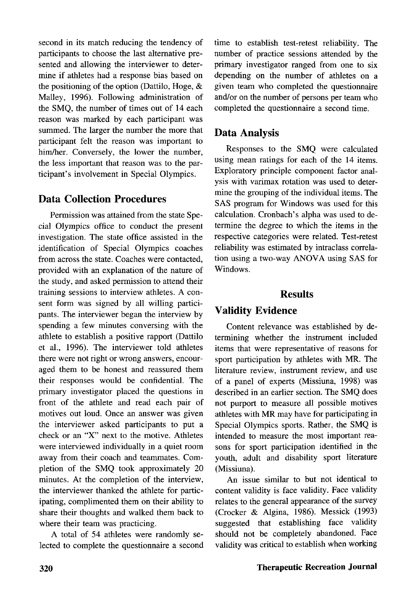second in its match reducing the tendency of participants to choose the last alternative presented and allowing the interviewer to determine if athletes had a response bias based on the positioning of the option (Dattilo, Hoge, & Malley, 1996). Following administration of the SMQ, the number of times out of 14 each reason was marked by each participant was summed. The larger the number the more that participant felt the reason was important to him/her. Conversely, the lower the number, the less important that reason was to the participant's involvement in Special Olympics.

#### Data Collection Procedures

Permission was attained from the state Special Olympics office to conduct the present investigation. The state office assisted in the identification of Special Olympics coaches from across the state. Coaches were contacted, provided with an explanation of the nature of the study, and asked permission to attend their training sessions to interview athletes. A consent form was signed by all willing participants. The interviewer began the interview by spending a few minutes conversing with the athlete to establish a positive rapport (Dattilo et al., 1996). The interviewer told athletes there were not right or wrong answers, encouraged them to be honest and reassured them their responses would be confidential. The primary investigator placed the questions in front of the athlete and read each pair of motives out loud. Once an answer was given the interviewer asked participants to put a check or an "X" next to the motive. Athletes were interviewed individually in a quiet room away from their coach and teammates. Completion of the SMQ took approximately 20 minutes. At the completion of the interview, the interviewer thanked the athlete for participating, complimented them on their ability to share their thoughts and walked them back to where their team was practicing.

A total of 54 athletes were randomly selected to complete the questionnaire a second time to establish test-retest reliability. The number of practice sessions attended by the primary investigator ranged from one to six depending on the number of athletes on a given team who completed the questionnaire and/or on the number of persons per team who completed the questionnaire a second time.

#### Data Analysis

Responses to the SMQ were calculated using mean ratings for each of the 14 items. Exploratory principle component factor analysis with varimax rotation was used to determine the grouping of the individual items. The SAS program for Windows was used for this calculation. Cronbach's alpha was used to determine the degree to which the items in the respective categories were related. Test-retest reliability was estimated by intraclass correlation using a two-way ANOVA using SAS for Windows.

#### **Results**

### Validity Evidence

Content relevance was established by determining whether the instrument included items that were representative of reasons for sport participation by athletes with MR. The literature review, instrument review, and use of a panel of experts (Missiuna, 1998) was described in an earlier section. The SMQ does not purport to measure all possible motives athletes with MR may have for participating in Special Olympics sports. Rather, the SMQ is intended to measure the most important reasons for sport participation identified in the youth, adult and disability sport literature (Missiuna).

An issue similar to but not identical to content validity is face validity. Face validity relates to the general appearance of the survey (Crocker & Algina, 1986). Messick (1993) suggested that establishing face validity should not be completely abandoned. Face validity was critical to establish when working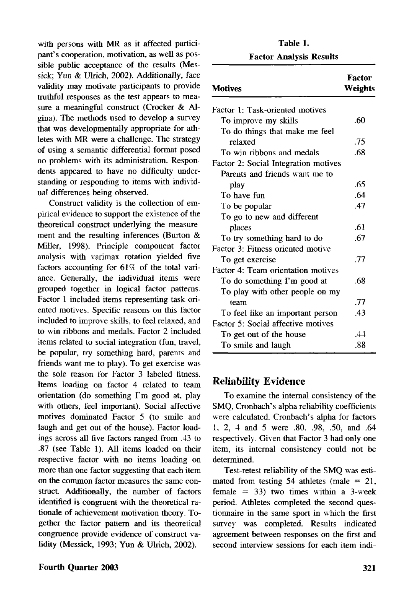with persons with MR as it affected participant's cooperation, motivation, as well as possible public acceptance of the results (Messick; Yun & Ulrich, 2002). Additionally, face validity may motivate participants to provide truthful responses as the test appears to measure a meaningful construct (Crocker & Algina). The methods used to develop a survey that was developmentally appropriate for athletes with MR were a challenge. The strategy of using a semantic differential format posed no problems with its administration. Respondents appeared to have no difficulty understanding or responding to items with individual differences being observed.

Construct validity is the collection of empirical evidence to support the existence of the theoretical construct underlying the measurement and the resulting inferences (Burton & Miller, 1998). Principle component factor analysis with varimax rotation yielded five factors accounting for  $61\%$  of the total variance. Generally, the individual items were grouped together in logical factor patterns. Factor 1 included items representing task oriented motives. Specific reasons on this factor included to improve skills, to feel relaxed, and to win ribbons and medals. Factor 2 included items related to social integration (fun, travel, be popular, try something hard, parents and friends want me to play). To get exercise was the sole reason for Factor 3 labeled fitness. Items loading on factor 4 related to team orientation (do something I'm good at, play with others, feel important). Social affective motives dominated Factor 5 (to smile and laugh and get out of the house). Factor loadings across all five factors ranged from .43 to .87 (see Table 1). All items loaded on their respective factor with no items loading on more than one factor suggesting that each item on the common factor measures the same construct. Additionally, the number of factors identified is congruent with the theoretical rationale of achievement motivation theory. Together the factor pattern and its theoretical congruence provide evidence of construct validity (Messick, 1993; Yun & Ulrich, 2002).

#### **Table 1. Factor Analysis Results**

| <b>Motives</b>                       | Factor<br>Weights |
|--------------------------------------|-------------------|
| Factor 1: Task-oriented motives      |                   |
| To improve my skills                 | .60               |
| To do things that make me feel       |                   |
| relaxed                              | .75               |
| To win ribbons and medals            | .68               |
| Factor 2: Social Integration motives |                   |
| Parents and friends want me to       |                   |
| play                                 | .65               |
| To have fun                          | .64               |
| To be popular                        | .47               |
| To go to new and different           |                   |
| places                               | .61               |
| To try something hard to do          | .67               |
| Factor 3: Fitness oriented motive    |                   |
| To get exercise                      | .77               |
| Factor 4: Team orientation motives   |                   |
| To do something I'm good at          | .68               |
| To play with other people on my      |                   |
| team                                 | .77               |
| To feel like an important person     | 43                |
| Factor 5: Social affective motives   |                   |
| To get out of the house              | .44               |
| To smile and laugh                   | .88               |

#### Reliability Evidence

To examine the internal consistency of the SMQ, Cronbach's alpha reliability coefficients were calculated. Cronbach's alpha for factors 1, 2, 4 and 5 were .80, .98, .50, and .64 respectively. Given that Factor 3 had only one item, its internal consistency could not be determined.

Test-retest reliability of the SMQ was estimated from testing 54 athletes (male  $= 21$ , female  $= 33$ ) two times within a 3-week period. Athletes completed the second questionnaire in the same sport in which the first survey was completed. Results indicated agreement between responses on the first and second interview sessions for each item indi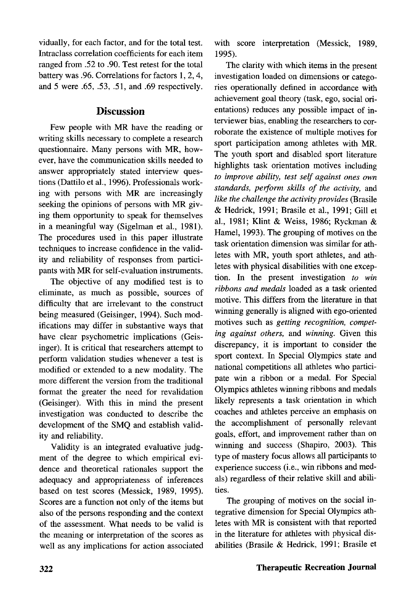vidually, for each factor, and for the total test. Intraclass correlation coefficients for each item ranged from .52 to .90. Test retest for the total battery was .96. Correlations for factors 1, 2,4, and 5 were .65, .53, .51, and .69 respectively.

#### **Discussion**

Few people with MR have the reading or writing skills necessary to complete a research questionnaire. Many persons with MR, however, have the communication skills needed to answer appropriately stated interview questions (Dattilo et al., 1996). Professionals working with persons with MR are increasingly seeking the opinions of persons with MR giving them opportunity to speak for themselves in a meaningful way (Sigelman et al., 1981). The procedures used in this paper illustrate techniques to increase confidence in the validity and reliability of responses from participants with MR for self-evaluation instruments.

The objective of any modified test is to eliminate, as much as possible, sources of difficulty that are irrelevant to the construct being measured (Geisinger, 1994). Such modifications may differ in substantive ways that have clear psychometric implications (Geisinger). It is critical that researchers attempt to perform validation studies whenever a test is modified or extended to a new modality. The more different the version from the traditional format the greater the need for revalidation (Geisinger). With this in mind the present investigation was conducted to describe the development of the SMQ and establish validity and reliability.

Validity is an integrated evaluative judgment of the degree to which empirical evidence and theoretical rationales support the adequacy and appropriateness of inferences based on test scores (Messick, 1989, 1995). Scores are a function not only of the items but also of the persons responding and the context of the assessment. What needs to be valid is the meaning or interpretation of the scores as well as any implications for action associated with score interpretation (Messick, 1989, 1995).

The clarity with which items in the present investigation loaded on dimensions or categories operationally defined in accordance with achievement goal theory (task, ego, social orientations) reduces any possible impact of interviewer bias, enabling the researchers to corroborate the existence of multiple motives for sport participation among athletes with MR. The youth sport and disabled sport literature highlights task orientation motives including *to improve ability, test self against ones own standards, perform skills of the activity,* and *like the challenge the activity provides* (Brasile & Hedrick, 1991; Brasile et al., 1991; Gill et al., 1981; Klint & Weiss, 1986; Ryckman & Hamel, 1993). The grouping of motives on the task orientation dimension was similar for athletes with MR, youth sport athletes, and athletes with physical disabilities with one exception. In the present investigation *to win ribbons and medals* loaded as a task oriented motive. This differs from the literature in that winning generally is aligned with ego-oriented motives such as *getting recognition, competing against others,* and *winning.* Given this discrepancy, it is important to consider the sport context. In Special Olympics state and national competitions all athletes who participate win a ribbon or a medal. For Special Olympics athletes winning ribbons and medals likely represents a task orientation in which coaches and athletes perceive an emphasis on the accomplishment of personally relevant goals, effort, and improvement rather than on winning and success (Shapiro, 2003). This willing and success (shapno,  $2003$ ). This  $\mu$ experience success (i.e., win  $\mu$ <sup>2</sup>) experience success (i.e., win ribbons and medals) regardless of their relative skill and abili-<br>ties.

The grouping of motives on the social integrative dimension for Special Olympics athletes with MR is consistent with that reported in the literature for athletes with physical disabilities (Brasile & Hedrick, 1991; Brasile et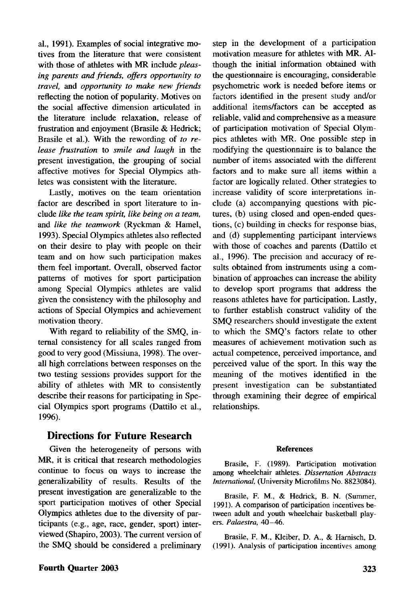al., 1991). Examples of social integrative motives from the literature that were consistent with those of athletes with MR include *pleasing parents and friends, offers opportunity to travel,* and *opportunity to make new friends* reflecting the notion of popularity. Motives on the social affective dimension articulated in the literature include relaxation, release of frustration and enjoyment (Brasile & Hedrick; Brasile et al.). With the rewording of *to release frustration* to *smile and laugh* in the present investigation, the grouping of social affective motives for Special Olympics athletes was consistent with the literature.

Lastly, motives on the team orientation factor are described in sport literature to include *like the team spirit, like being on a team,* and *like the teamwork* (Ryckman & Hamel, 1993). Special Olympics athletes also reflected on their desire to play with people on their team and on how such participation makes them feel important. Overall, observed factor patterns of motives for sport participation among Special Olympics athletes are valid given the consistency with the philosophy and actions of Special Olympics and achievement motivation theory.

With regard to reliability of the SMQ, internal consistency for all scales ranged from good to very good (Missiuna, 1998). The overall high correlations between responses on the two testing sessions provides support for the ability of athletes with MR to consistently describe their reasons for participating in Special Olympics sport programs (Dattilo et al., 1996).

#### Directions for Future Research

Given the heterogeneity of persons with MR, it is critical that research methodologies continue to focus on ways to increase the generalizability of results. Results of the present investigation are generalizable to the sport participation motives of other Special Olympics athletes due to the diversity of participants (e.g., age, race, gender, sport) interviewed (Shapiro, 2003). The current version of the SMQ should be considered a preliminary

step in the development of a participation motivation measure for athletes with MR. Although the initial information obtained with the questionnaire is encouraging, considerable psychometric work is needed before items or factors identified in the present study and/or additional items/factors can be accepted as reliable, valid and comprehensive as a measure of participation motivation of Special Olympics athletes with MR. One possible step in modifying the questionnaire is to balance the number of items associated with the different factors and to make sure all items within a factor are logically related. Other strategies to increase validity of score interpretations include (a) accompanying questions with pictures, (b) using closed and open-ended questions, (c) building in checks for response bias, and (d) supplementing participant interviews with those of coaches and parents (Dattilo et al., 1996). The precision and accuracy of results obtained from instruments using a combination of approaches can increase the ability to develop sport programs that address the reasons athletes have for participation. Lastly, to further establish construct validity of the SMQ researchers should investigate the extent to which the SMQ's factors relate to other measures of achievement motivation such as actual competence, perceived importance, and perceived value of the sport. In this way the meaning of the motives identified in the meaning or the motives numerical in the present investigation can be substantiated through examining their degree of empirical<br>relationships.

#### References

Brasile, F. (1989). Participation motivation among wheelchair athletes. *Dissertation Abstracts International,* (University Microfilms No. 8823084).

Brasile, F. M., & Hedrick, B. N. (Summer, 1991). A comparison of participation incentives between adult and youth wheelchair basketball players. *Palaestra,* 40—46.

Brasile, F. M., Kleiber, D. A., & Harnisch, D. (1991). Analysis of participation incentives among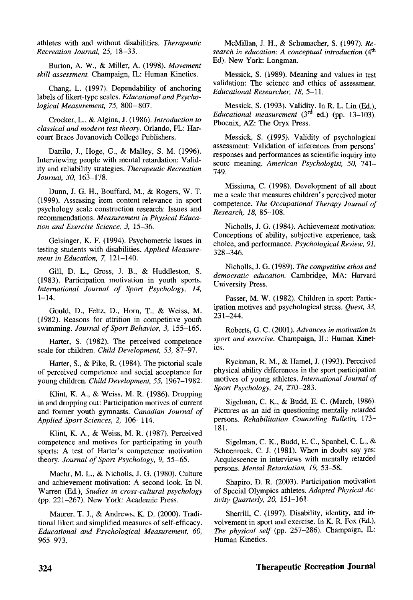athletes with and without disabilities. *Therapeutic Recreation Journal, 25,* 18-33.

Burton, A. W., & Miller, A. (1998). *Movement skill assessment.* Champaign, IL: Human Kinetics.

Chang, L. (1997). Dependability of anchoring labels of likert-type scales. *Educational and Psychological Measurement, 75,* 800-807.

Crocker, L., & Algina, J. (1986). *Introduction to classical and modern test theory.* Orlando, FL: Harcourt Brace Jovanovich College Publishers.

Dattilo, J., Hoge, G., & Malley, S. M. (1996). Interviewing people with mental retardation: Validity and reliability strategies. *Therapeutic Recreation Journal, 30,* 163-178.

Dunn, J. G. H., Bouffard, M., & Rogers, W. T. (1999). Assessing item content-relevance in sport psychology scale construction research: Issues and recommendations. *Measurement in Physical Education and Exercise Science, 3,* 15-36.

Geisinger, K. F. (1994). Psychometric issues in testing students with disabilities. *Applied Measurement in Education,* 7, 121-140.

Gill, D. L., Gross, J. B., & Huddleston, S. (1983). Participation motivation in youth sports. *International Journal of Sport Psychology, 14,* 1-14.

Gould, D., Feltz, D., Horn, T., & Weiss, M. (1982). Reasons for attrition in competitive youth swimming. *Journal of Sport Behavior, 3,* 155-165.

Harter, S. (1982). The perceived competence scale for children. *Child Development, 53,* 87-97.

Harter, S., & Pike, R. (1984). The pictorial scale of perceived competence and social acceptance for young children. *Child Development, 55,* 1967-1982.

Klint, K. A., & Weiss, M. R. (1986). Dropping in and dropping out: Participation motives of current and former youth gymnasts. *Canadian Journal of Applied Sport Sciences, 2,* 106-114.

Klint, K. A., & Weiss, M. R. (1987). Perceived competence and motives for participating in youth sports: A test of Harter's competence motivation theory. *Journal of Sport Psychology, 9,* 55-65.

Maehr, M. L., & Nicholls, J. G. (1980). Culture and achievement motivation: A second look. In N. Warren (Ed.), *Studies in cross-cultural psychology* (pp. 221-267). New York: Academic Press.

Maurer, T. J., & Andrews, K. D. (2000). Traditional likert and simplified measures of self-efficacy. *Educational and Psychological Measurement, 60,* 965-973.

McMillan, J. H., & Schumacher, S. (1997). *Research in education: A conceptual introduction* (4th Ed). New York: Longman.

Messick, S. (1989). Meaning and values in test validation: The science and ethics of assessment. *Educational Researcher, 18,* 5—11.

Messick, S. (1993). Validity. In R. L. Lin (Ed.), Educational measurement (3<sup>rd</sup> ed.) (pp. 13-103). Phoenix, AZ: The Oryx Press.

Messick, S. (1995). Validity of psychological assessment: Validation of inferences from persons' responses and performances as scientific inquiry into score meaning. *American Psychologist, 50,* 741- 749.

Missiuna, C. (1998). Development of all about me a scale that measures children's perceived motor competence. *The Occupational Therapy Journal of Research, 18,* 85-108.

Nicholls, J. G. (1984). Achievement motivation: Conceptions of ability, subjective experience, task choice, and performance. *Psychological Review, 91,* 328-346.

Nicholls, J. G. (1989). *The competitive ethos and democratic education.* Cambridge, MA: Harvard University Press.

Passer, M. W. (1982). Children in sport: Participation motives and psychological stress. *Quest, 33,* 231-244.

Roberts, G. C. (2001). *Advances in motivation in sport and exercise.* Champaign, IL: Human Kinetics.

Ryckman, R. M., & Hamel, J. (1993). Perceived physical ability differences in the sport participation motives of young athletes. *International Journal of Sport Psychology, 24,* 270-283.

Sigelman, C. K., & Budd, E. C. (March, 1986). Pictures as an aid in questioning mentally retarded persons. *Rehabilitation Counseling Bulletin,* 173— 181.

Sigelman, C. K., Budd, E. C, Spanhel, C. L., & Schoenrock, C. J. (1981). When in doubt say yes: Acquiescence in interviews with mentally retarded persons. *Mental Retardation, 19,* 53-58.

Shapiro, D. R. (2003). Participation motivation of Special Olympics athletes. *Adapted Physical Activity Quarterly, 20,* 151-161.

Sherrill, C. (1997). Disability, identity, and involvement in sport and exercise. In K. R. Fox (Ed.), *The physical self* (pp. 257-286). Champaign, IL: Human Kinetics.